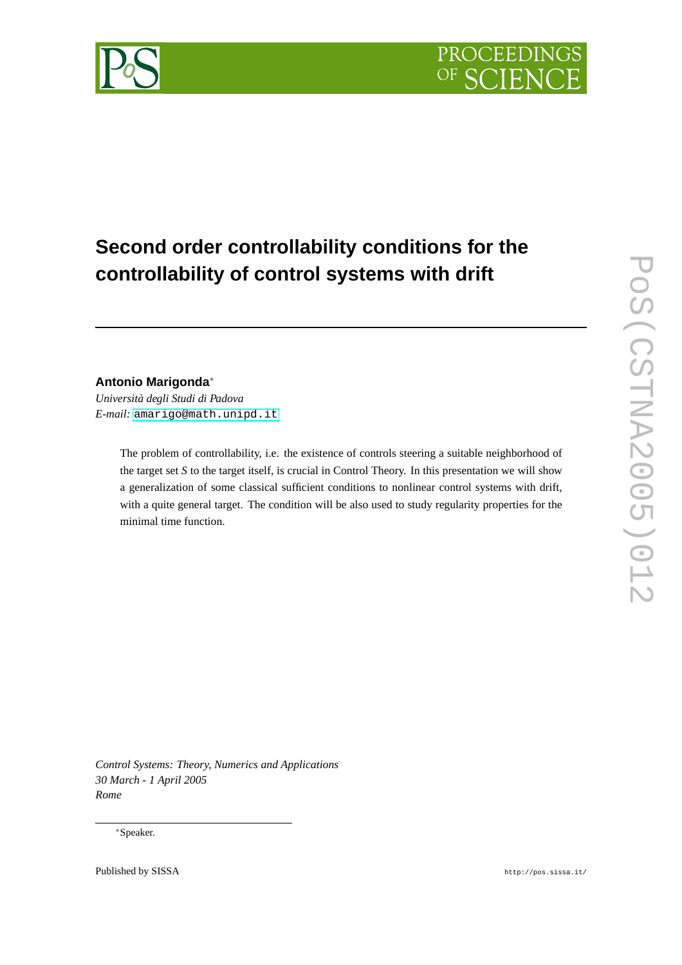

# **Second order controllability conditions for the controllability of control systems with drift**

# **Antonio Marigonda**<sup>∗</sup>

*Università degli Studi di Padova E-mail:* [amarigo@math.unipd.it](mailto:amarigo@math.unipd.it)

> The problem of controllability, i.e. the existence of controls steering a suitable neighborhood of the target set *S* to the target itself, is crucial in Control Theory. In this presentation we will show a generalization of some classical sufficient conditions to nonlinear control systems with drift, with a quite general target. The condition will be also used to study regularity properties for the minimal time function.

*Control Systems: Theory, Numerics and Applications 30 March - 1 April 2005 Rome*

# <sup>∗</sup>Speaker.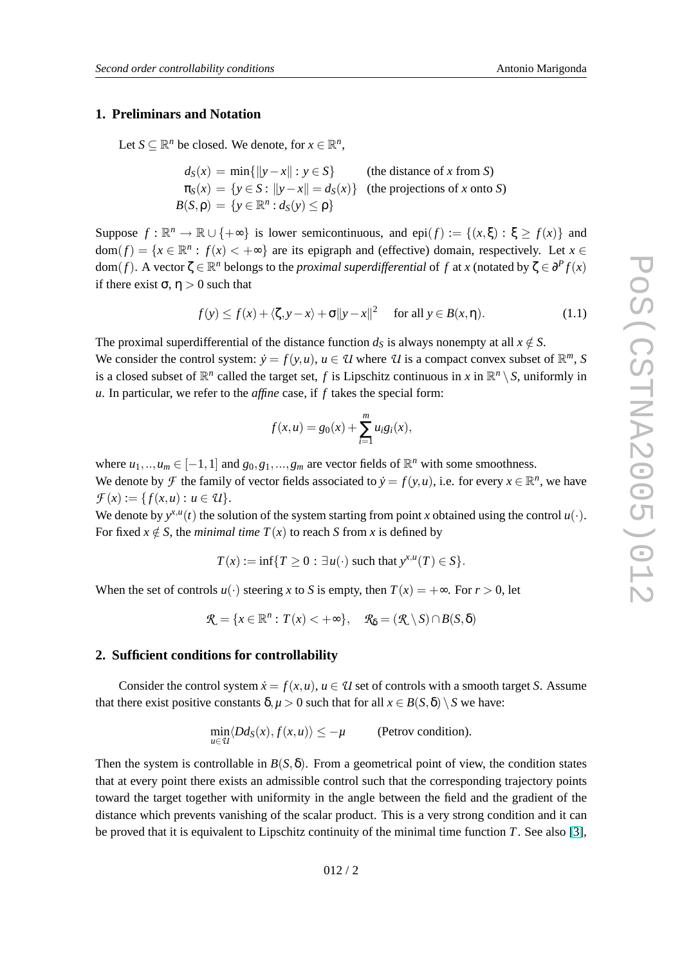# <span id="page-1-0"></span>**1. Preliminars and Notation**

Let  $S \subseteq \mathbb{R}^n$  be closed. We denote, for  $x \in \mathbb{R}^n$ ,

$$
d_S(x) = \min\{\|y - x\| : y \in S\}
$$
 (the distance of x from S)  

$$
\pi_S(x) = \{y \in S : \|y - x\| = d_S(x)\}
$$
 (the projections of x onto S)  

$$
B(S, \rho) = \{y \in \mathbb{R}^n : d_S(y) \le \rho\}
$$

Suppose  $f : \mathbb{R}^n \to \mathbb{R} \cup \{+\infty\}$  is lower semicontinuous, and epi $(f) := \{(x, \xi) : \xi \ge f(x)\}\$ and  $dom(f) = \{x \in \mathbb{R}^n : f(x) < +\infty\}$  are its epigraph and (effective) domain, respectively. Let  $x \in$ dom(*f*). A vector  $\zeta \in \mathbb{R}^n$  belongs to the *proximal superdifferential* of *f* at *x* (notated by  $\zeta \in \partial^P f(x)$ if there exist  $\sigma$ ,  $\eta > 0$  such that

$$
f(y) \le f(x) + \langle \zeta, y - x \rangle + \sigma \|y - x\|^2 \quad \text{for all } y \in B(x, \eta). \tag{1.1}
$$

The proximal superdifferential of the distance function  $d<sub>S</sub>$  is always nonempty at all  $x \notin S$ .

We consider the control system:  $\dot{y} = f(y, u)$ ,  $u \in \mathcal{U}$  where  $\mathcal{U}$  is a compact convex subset of  $\mathbb{R}^m$ , S is a closed subset of  $\mathbb{R}^n$  called the target set, *f* is Lipschitz continuous in *x* in  $\mathbb{R}^n \setminus S$ , uniformly in *u*. In particular, we refer to the *affine* case, if *f* takes the special form:

$$
f(x, u) = g_0(x) + \sum_{i=1}^{m} u_i g_i(x),
$$

where  $u_1, ..., u_m \in [-1, 1]$  and  $g_0, g_1, ..., g_m$  are vector fields of  $\mathbb{R}^n$  with some smoothness. We denote by *F* the family of vector fields associated to  $\dot{y} = f(y, u)$ , i.e. for every  $x \in \mathbb{R}^n$ , we have  $\mathcal{F}(x) := \{ f(x, u) : u \in \mathcal{U} \}.$ 

We denote by  $y^{x,u}(t)$  the solution of the system starting from point *x* obtained using the control  $u(\cdot)$ . For fixed  $x \notin S$ , the *minimal time*  $T(x)$  to reach *S* from *x* is defined by

$$
T(x) := \inf\{T \ge 0 : \exists u(\cdot) \text{ such that } y^{x,u}(T) \in S\}.
$$

When the set of controls  $u(\cdot)$  steering *x* to *S* is empty, then  $T(x) = +\infty$ . For  $r > 0$ , let

$$
\mathcal{R} = \{x \in \mathbb{R}^n : T(x) < +\infty\}, \quad \mathcal{R}_{\delta} = (\mathcal{R} \setminus S) \cap B(S, \delta)
$$

#### **2. Sufficient conditions for controllability**

Consider the control system  $\dot{x} = f(x, u)$ ,  $u \in U$  set of controls with a smooth target *S*. Assume that there exist positive constants  $\delta, \mu > 0$  such that for all  $x \in B(S, \delta) \setminus S$  we have:

$$
\min_{u \in \mathcal{U}} \langle Dd_S(x), f(x, u) \rangle \le -\mu
$$
 (Petrov condition).

Then the system is controllable in  $B(S, \delta)$ . From a geometrical point of view, the condition states that at every point there exists an admissible control such that the corresponding trajectory points toward the target together with uniformity in the angle between the field and the gradient of the distance which prevents vanishing of the scalar product. This is a very strong condition and it can be proved that it is equivalent to Lipschitz continuity of the minimal time function *T*. See also [\[3\]](#page-6-0),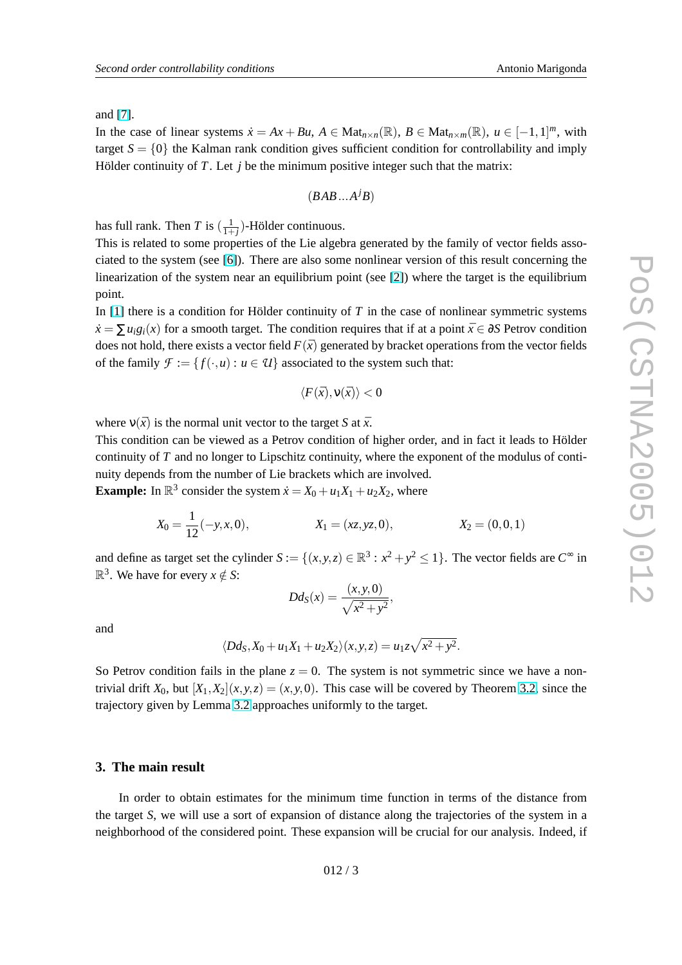and [\[7\]](#page-6-0).

In the case of linear systems  $\dot{x} = Ax + Bu$ ,  $A \in Mat_{n \times n}(\mathbb{R})$ ,  $B \in Mat_{n \times m}(\mathbb{R})$ ,  $u \in [-1,1]^m$ , with target  $S = \{0\}$  the Kalman rank condition gives sufficient condition for controllability and imply Hölder continuity of *T*. Let *j* be the minimum positive integer such that the matrix:

$$
(BAB...A^jB)
$$

has full rank. Then *T* is  $(\frac{1}{1+j})$ -Hölder continuous.

This is related to some properties of the Lie algebra generated by the family of vector fields associated to the system (see [\[6\]](#page-6-0)). There are also some nonlinear version of this result concerning the linearization of the system near an equilibrium point (see [\[2\]](#page-6-0)) where the target is the equilibrium point.

In [\[1\]](#page-6-0) there is a condition for Hölder continuity of *T* in the case of nonlinear symmetric systems  $\dot{x} = \sum u_i g_i(x)$  for a smooth target. The condition requires that if at a point  $\bar{x} \in \partial S$  Petrov condition does not hold, there exists a vector field  $F(\bar{x})$  generated by bracket operations from the vector fields of the family  $\mathcal{F} := \{f(\cdot, u) : u \in \mathcal{U}\}\$ associated to the system such that:

$$
\langle F(\bar{x}), \mathsf{v}(\bar{x})\rangle < 0
$$

where  $v(\bar{x})$  is the normal unit vector to the target *S* at  $\bar{x}$ .

This condition can be viewed as a Petrov condition of higher order, and in fact it leads to Hölder continuity of *T* and no longer to Lipschitz continuity, where the exponent of the modulus of continuity depends from the number of Lie brackets which are involved.

**Example:** In  $\mathbb{R}^3$  consider the system  $\dot{x} = X_0 + u_1 X_1 + u_2 X_2$ , where

$$
X_0 = \frac{1}{12}(-y, x, 0),
$$
  $X_1 = (xz, yz, 0),$   $X_2 = (0, 0, 1)$ 

and define as target set the cylinder  $S := \{(x, y, z) \in \mathbb{R}^3 : x^2 + y^2 \le 1\}$ . The vector fields are  $C^{\infty}$  in  $\mathbb{R}^3$ . We have for every  $x \notin S$ :

$$
Dd_{S}(x) = \frac{(x, y, 0)}{\sqrt{x^2 + y^2}},
$$

and

$$
\langle Dd_S, X_0+u_1X_1+u_2X_2\rangle(x, y, z)=u_1z\sqrt{x^2+y^2}.
$$

So Petrov condition fails in the plane  $z = 0$ . The system is not symmetric since we have a nontrivial drift  $X_0$ , but  $[X_1, X_2](x, y, z) = (x, y, 0)$ . This case will be covered by Theorem [3.2,](#page-5-0) since the trajectory given by Lemma [3.2](#page-3-0) approaches uniformly to the target.

# **3. The main result**

In order to obtain estimates for the minimum time function in terms of the distance from the target *S*, we will use a sort of expansion of distance along the trajectories of the system in a neighborhood of the considered point. These expansion will be crucial for our analysis. Indeed, if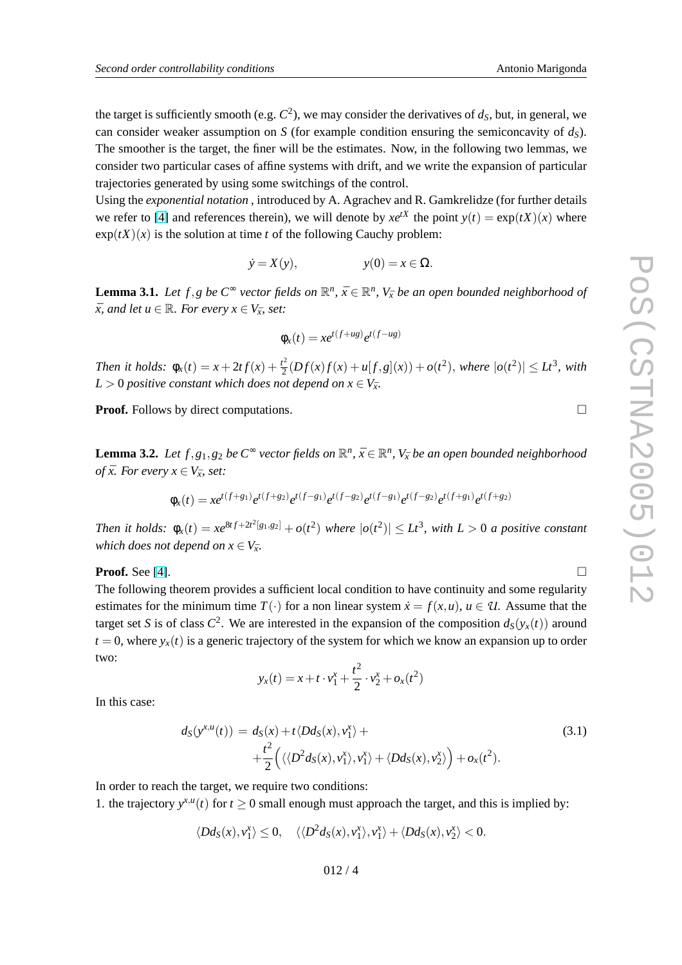<span id="page-3-0"></span>the target is sufficiently smooth (e.g. *C* 2 ), we may consider the derivatives of *dS*, but, in general, we can consider weaker assumption on *S* (for example condition ensuring the semiconcavity of *dS*). The smoother is the target, the finer will be the estimates. Now, in the following two lemmas, we consider two particular cases of affine systems with drift, and we write the expansion of particular trajectories generated by using some switchings of the control.

Using the *exponential notation* , introduced by A. Agrachev and R. Gamkrelidze (for further details we refer to [\[4\]](#page-6-0) and references therein), we will denote by  $xe^{tX}$  the point  $y(t) = \exp(tX)(x)$  where  $\exp(tX)(x)$  is the solution at time *t* of the following Cauchy problem:

$$
\dot{y} = X(y), \qquad \qquad y(0) = x \in \Omega.
$$

**Lemma 3.1.** Let  $f, g$  be  $C^{\infty}$  vector fields on  $\mathbb{R}^n$ ,  $\bar{x} \in \mathbb{R}^n$ ,  $V_{\bar{x}}$  be an open bounded neighborhood of  $\bar{x}$ *, and let*  $u \in \mathbb{R}$ *. For every*  $x \in V_{\bar{x}}$ *, set:* 

$$
\phi_x(t) = xe^{t(f+ug)}e^{t(f-ug)}
$$

*Then it holds:*  $\phi_x(t) = x + 2tf(x) + \frac{t^2}{2}$  $\frac{d}{dx} \left( Df(x)f(x) + u[f, g](x) \right) + o(t^2),$  where  $|o(t^2)| \leq Lt^3$ , with  $L > 0$  *positive constant which does not depend on*  $x \in V_{\bar{x}}$ .

**Proof.** Follows by direct computations.

**Lemma 3.2.** Let  $f, g_1, g_2$  be  $C^{\infty}$  vector fields on  $\mathbb{R}^n$ ,  $\bar{x} \in \mathbb{R}^n$ ,  $V_{\bar{x}}$  be an open bounded neighborhood *of*  $\bar{x}$ *. For every*  $x \in V_{\bar{x}}$ *, set:* 

$$
\phi_x(t) = xe^{t(f+g_1)}e^{t(f+g_2)}e^{t(f-g_1)}e^{t(f-g_2)}e^{t(f-g_1)}e^{t(f-g_2)}e^{t(f+g_1)}e^{t(f+g_1)}e^{t(f+g_2)}
$$

Then it holds:  $\phi_x(t) = xe^{8t f + 2t^2[g_1,g_2]} + o(t^2)$  where  $|o(t^2)| \leq Lt^3$ , with  $L > 0$  a positive constant *which does not depend on*  $x \in V_{\bar{x}}$ .

**Proof.** See [\[4\]](#page-6-0).  $\Box$ 

The following theorem provides a sufficient local condition to have continuity and some regularity estimates for the minimum time  $T(\cdot)$  for a non linear system  $\dot{x} = f(x, u)$ ,  $u \in U$ . Assume that the target set *S* is of class  $C^2$ . We are interested in the expansion of the composition  $d_S(y_x(t))$  around  $t = 0$ , where  $y_x(t)$  is a generic trajectory of the system for which we know an expansion up to order two:

$$
y_x(t) = x + t \cdot v_1^x + \frac{t^2}{2} \cdot v_2^x + o_x(t^2)
$$

In this case:

$$
d_S(y^{x,u}(t)) = d_S(x) + t \langle Dd_S(x), v_1^x \rangle + + \frac{t^2}{2} \Big( \langle \langle D^2 d_S(x), v_1^x \rangle, v_1^x \rangle + \langle Dd_S(x), v_2^x \rangle \Big) + o_x(t^2).
$$
\n(3.1)

In order to reach the target, we require two conditions:

1. the trajectory  $y^{x,u}(t)$  for  $t \ge 0$  small enough must approach the target, and this is implied by:

$$
\langle Dd_S(x),v_1^x\rangle\leq 0,\quad \langle\langle D^2d_S(x),v_1^x\rangle,v_1^x\rangle+\langle Dd_S(x),v_2^x\rangle<0.
$$

012 / 4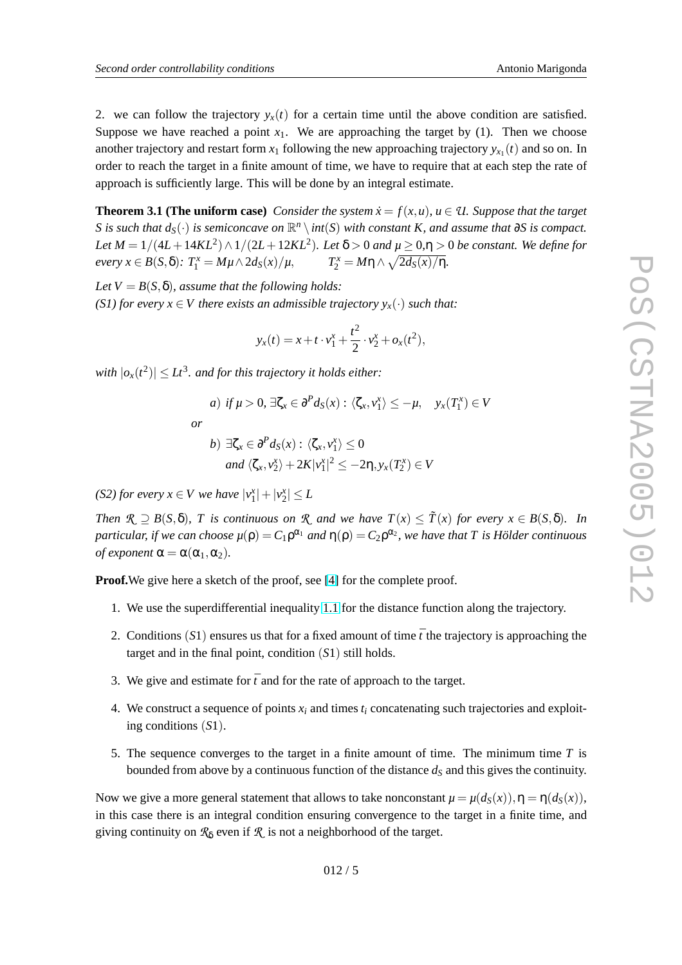2. we can follow the trajectory  $y_x(t)$  for a certain time until the above condition are satisfied. Suppose we have reached a point  $x_1$ . We are approaching the target by (1). Then we choose another trajectory and restart form  $x_1$  following the new approaching trajectory  $y_{x_1}(t)$  and so on. In order to reach the target in a finite amount of time, we have to require that at each step the rate of approach is sufficiently large. This will be done by an integral estimate.

**Theorem 3.1 (The uniform case)** *Consider the system*  $\dot{x} = f(x, u)$ *,*  $u \in \mathcal{U}$ *. Suppose that the target*  $S$  *is such that*  $d_S(\cdot)$  *is semiconcave on*  $\mathbb{R}^n \setminus int(S)$  *with constant*  $K$ *, and assume that* ∂*S is compact. Let*  $M = 1/(4L + 14KL^2) \wedge 1/(2L + 12KL^2)$ *. Let*  $\delta > 0$  *and*  $\mu \geq 0, \eta > 0$  *be constant. We define for*  $e$ *very*  $x \in B(S, \delta)$ :  $T_1^x = M\mu \wedge 2d_S(x)/\mu$ ,  $T_2^x = M\eta \wedge \sqrt{2d_S(x)/\eta}$ .

 $Let V = B(S, \delta)$ *, assume that the following holds: (S1) for every*  $x \in V$  *there exists an admissible trajectory*  $y_x(\cdot)$  *such that:* 

$$
y_x(t) = x + t \cdot v_1^x + \frac{t^2}{2} \cdot v_2^x + o_x(t^2),
$$

with  $|o_x(t^2)| \leq Lt^3$ *. and for this trajectory it holds either:* 

$$
a) \text{ if } \mu > 0, \exists \zeta_x \in \partial^P d_S(x) : \langle \zeta_x, v_1^x \rangle \le -\mu, \quad y_x(T_1^x) \in
$$
  
or  

$$
b) \exists \zeta_x \in \partial^P d_S(x) : \langle \zeta_x, v_1^x \rangle \le 0
$$
  
and  $\langle \zeta_x, v_2^x \rangle + 2K |v_1^x|^2 \le -2\eta, y_x(T_2^x) \in V$ 

*(S2) for every*  $x \in V$  *we have*  $|v_1^x| + |v_2^x| \leq L$ 

*Then*  $\mathcal{R} \supseteq B(S, \delta)$ , *T is continuous on*  $\mathcal{R}$  *and we have*  $T(x) \leq \tilde{T}(x)$  *for every*  $x \in B(S, \delta)$ *. In particular, if we can choose*  $\mu(\rho) = C_1 \rho^{\alpha_1}$  *and*  $\eta(\rho) = C_2 \rho^{\alpha_2}$ *, we have that*  $T$  *is Hölder continuous of exponent*  $\alpha = \alpha(\alpha_1, \alpha_2)$ .

**Proof.**We give here a sketch of the proof, see [\[4\]](#page-6-0) for the complete proof.

- 1. We use the superdifferential inequality [1.1](#page-1-0) for the distance function along the trajectory.
- 2. Conditions  $(S1)$  ensures us that for a fixed amount of time  $\bar{t}$  the trajectory is approaching the target and in the final point, condition (*S*1) still holds.
- 3. We give and estimate for  $\bar{t}$  and for the rate of approach to the target.
- 4. We construct a sequence of points  $x_i$  and times  $t_i$  concatenating such trajectories and exploiting conditions (*S*1).
- 5. The sequence converges to the target in a finite amount of time. The minimum time *T* is bounded from above by a continuous function of the distance  $d<sub>S</sub>$  and this gives the continuity.

Now we give a more general statement that allows to take nonconstant  $\mu = \mu(d_S(x)), \eta = \eta(d_S(x))$ , in this case there is an integral condition ensuring convergence to the target in a finite time, and giving continuity on  $\mathcal{R}_{\delta}$  even if  $\mathcal{R}$  is not a neighborhood of the target.

 $V$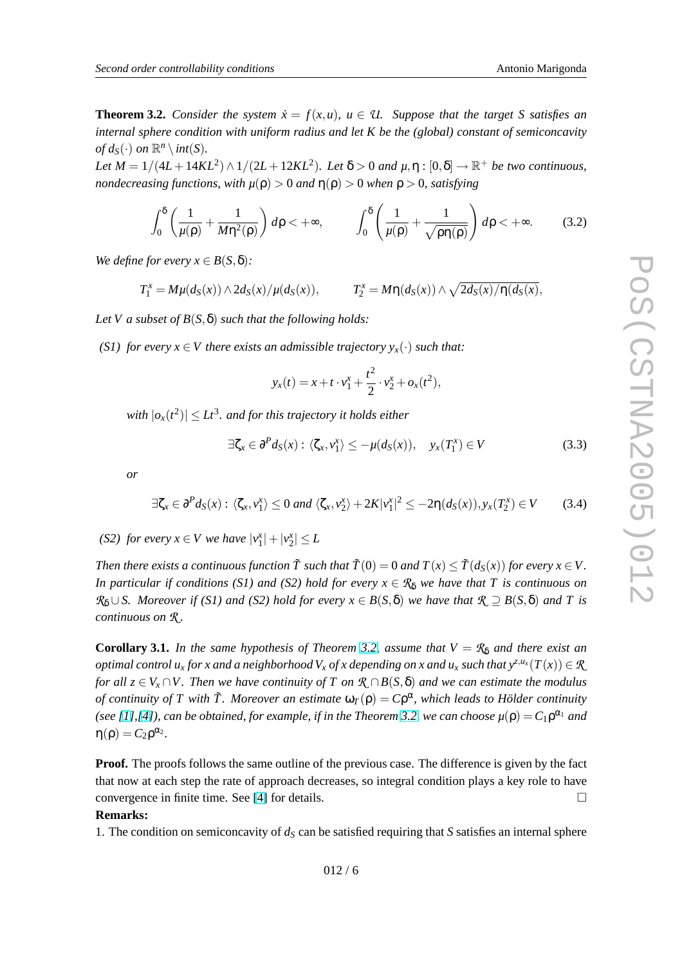<span id="page-5-0"></span>**Theorem 3.2.** *Consider the system*  $\dot{x} = f(x, u)$ *,*  $u \in \mathcal{U}$ *. Suppose that the target S satisfies* an *internal sphere condition with uniform radius and let K be the (global) constant of semiconcavity of*  $d_S(\cdot)$  *on*  $\mathbb{R}^n \setminus int(S)$ *.* 

*Let*  $M = 1/(4L + 14KL^2) \wedge 1/(2L + 12KL^2)$ . Let  $\delta > 0$  and  $\mu, \eta : [0, \delta] \to \mathbb{R}^+$  *be two continuous, nondecreasing functions, with*  $\mu(\rho) > 0$  *and*  $\eta(\rho) > 0$  *when*  $\rho > 0$ *, satisfying* 

$$
\int_0^\delta \left(\frac{1}{\mu(\rho)} + \frac{1}{M\eta^2(\rho)}\right) d\rho < +\infty, \qquad \int_0^\delta \left(\frac{1}{\mu(\rho)} + \frac{1}{\sqrt{\rho\eta(\rho)}}\right) d\rho < +\infty. \tag{3.2}
$$

*We define for every*  $x \in B(S, \delta)$ *:* 

$$
T_1^x = M\mu(d_S(x)) \wedge 2d_S(x)/\mu(d_S(x)), \qquad T_2^x = M\eta(d_S(x)) \wedge \sqrt{2d_S(x)/\eta(d_S(x)},
$$

Let *V a subset of*  $B(S, \delta)$  *such that the following holds:* 

*(S1) for every*  $x \in V$  *there exists an admissible trajectory*  $y_x(\cdot)$  *such that:* 

$$
y_x(t) = x + t \cdot v_1^x + \frac{t^2}{2} \cdot v_2^x + o_x(t^2),
$$

with  $|o_x(t^2)| \leq L t^3.$  and for this trajectory it holds either

$$
\exists \zeta_x \in \partial^P d_S(x) : \langle \zeta_x, v_1^x \rangle \le -\mu(d_S(x)), \quad y_x(T_1^x) \in V \tag{3.3}
$$

*or*

$$
\exists \zeta_x \in \partial^P d_S(x) : \langle \zeta_x, v_1^x \rangle \le 0 \text{ and } \langle \zeta_x, v_2^x \rangle + 2K|v_1^x|^2 \le -2\eta(d_S(x)), y_x(T_2^x) \in V \tag{3.4}
$$

*(S2) for every*  $x \in V$  *we have*  $|v_1^x| + |v_2^x| \le L$ 

*Then there exists a continuous function*  $\tilde{T}$  *such that*  $\tilde{T}(0) = 0$  *and*  $T(x) \le \tilde{T}(d_S(x))$  *for every*  $x \in V$ . *In particular if conditions (S1) and (S2) hold for every*  $x \in \mathcal{R}_\delta$  *we have that T is continuous on R*<sup>δ</sup> ∪*S. Moreover if (S1) and (S2) hold for every x* ∈ *B*(*S*,δ) *we have that R* ⊇ *B*(*S*,δ) *and T is continuous on R .*

**Corollary 3.1.** *In the same hypothesis of Theorem 3.2, assume that*  $V = R_\delta$  *and there exist an* optimal control  $u_x$  for x and a neighborhood  $V_x$  of x depending on x and  $u_x$  such that  $y^{z,u_x}(T(x))\in\mathcal{R}$ *for all*  $z \in V_x \cap V$ . Then we have continuity of *T* on  $\mathcal{R} \cap B(S, \delta)$  and we can estimate the modulus *of continuity of T with*  $\tilde{T}$ *. Moreover an estimate*  $\omega_T(\rho) = C\rho^{\alpha}$ *, which leads to Hölder continuity (see [\[1\]](#page-6-0),[\[4\]](#page-6-0)), can be obtained, for example, if in the Theorem 3.2, we can choose*  $\mu(\rho) = C_1 \rho^{\alpha_1}$  *and*  $\eta(\rho) = C_2 \rho^{\alpha_2}.$ 

**Proof.** The proofs follows the same outline of the previous case. The difference is given by the fact that now at each step the rate of approach decreases, so integral condition plays a key role to have convergence in finite time. See [\[4\]](#page-6-0) for details.  $\Box$ 

#### **Remarks:**

1. The condition on semiconcavity of  $d<sub>S</sub>$  can be satisfied requiring that *S* satisfies an internal sphere